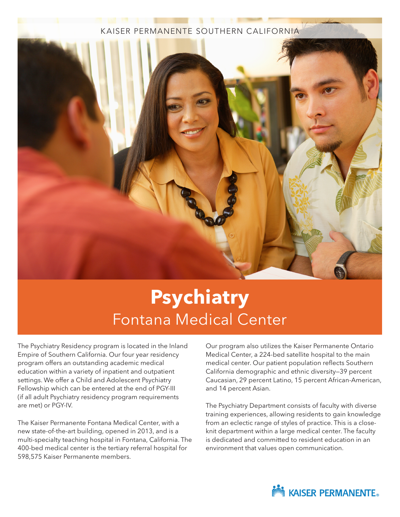### KAISER PERMANENTE SOUTHERN CALIFORNIA



# **Psychiatry**  Fontana Medical Center

The Psychiatry Residency program is located in the Inland Empire of Southern California. Our four year residency program offers an outstanding academic medical education within a variety of inpatient and outpatient settings. We offer a Child and Adolescent Psychiatry Fellowship which can be entered at the end of PGY-III (if all adult Psychiatry residency program requirements are met) or PGY-IV.

The Kaiser Permanente Fontana Medical Center, with a new state-of-the-art building, opened in 2013, and is a multi-specialty teaching hospital in Fontana, California. The 400-bed medical center is the tertiary referral hospital for 598,575 Kaiser Permanente members.

Our program also utilizes the Kaiser Permanente Ontario Medical Center, a 224-bed satellite hospital to the main medical center. Our patient population reflects Southern California demographic and ethnic diversity—39 percent Caucasian, 29 percent Latino, 15 percent African-American, and 14 percent Asian.

The Psychiatry Department consists of faculty with diverse training experiences, allowing residents to gain knowledge from an eclectic range of styles of practice. This is a closeknit department within a large medical center. The faculty is dedicated and committed to resident education in an environment that values open communication.